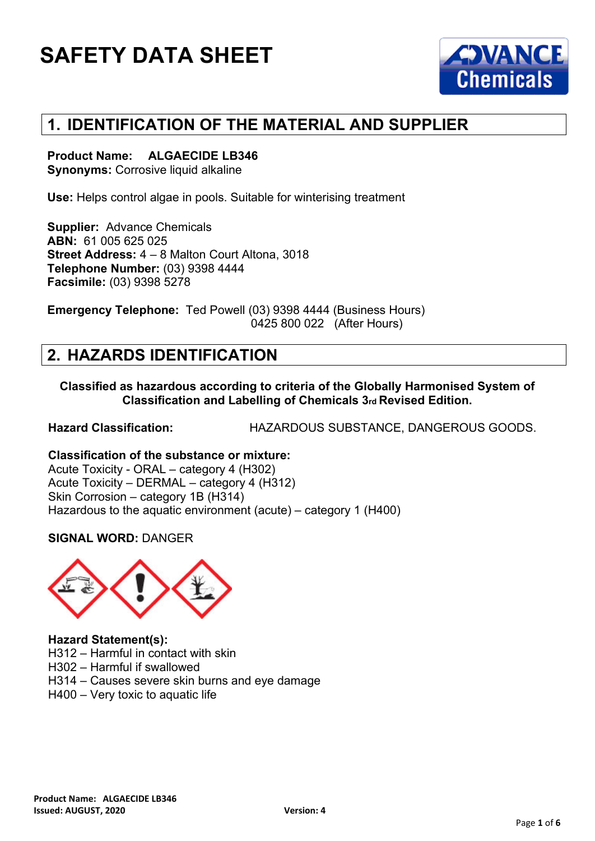

## **1. IDENTIFICATION OF THE MATERIAL AND SUPPLIER**

#### **Product Name: ALGAECIDE LB346**

**Synonyms: Corrosive liquid alkaline** 

**Use:** Helps control algae in pools. Suitable for winterising treatment

**Supplier:** Advance Chemicals **ABN:** 61 005 625 025 **Street Address:** 4 – 8 Malton Court Altona, 3018 **Telephone Number:** (03) 9398 4444 **Facsimile:** (03) 9398 5278

**Emergency Telephone:** Ted Powell (03) 9398 4444 (Business Hours) 0425 800 022 (After Hours)

## **2. HAZARDS IDENTIFICATION**

**Classified as hazardous according to criteria of the Globally Harmonised System of Classification and Labelling of Chemicals 3rd Revised Edition.**

**Hazard Classification:** HAZARDOUS SUBSTANCE, DANGEROUS GOODS.

**Classification of the substance or mixture:** Acute Toxicity - ORAL – category 4 (H302) Acute Toxicity – DERMAL – category 4 (H312) Skin Corrosion – category 1B (H314) Hazardous to the aquatic environment (acute) – category 1 (H400)

#### **SIGNAL WORD:** DANGER



#### **Hazard Statement(s):**

H312 – Harmful in contact with skin

H302 – Harmful if swallowed

H314 – Causes severe skin burns and eye damage

H400 – Very toxic to aquatic life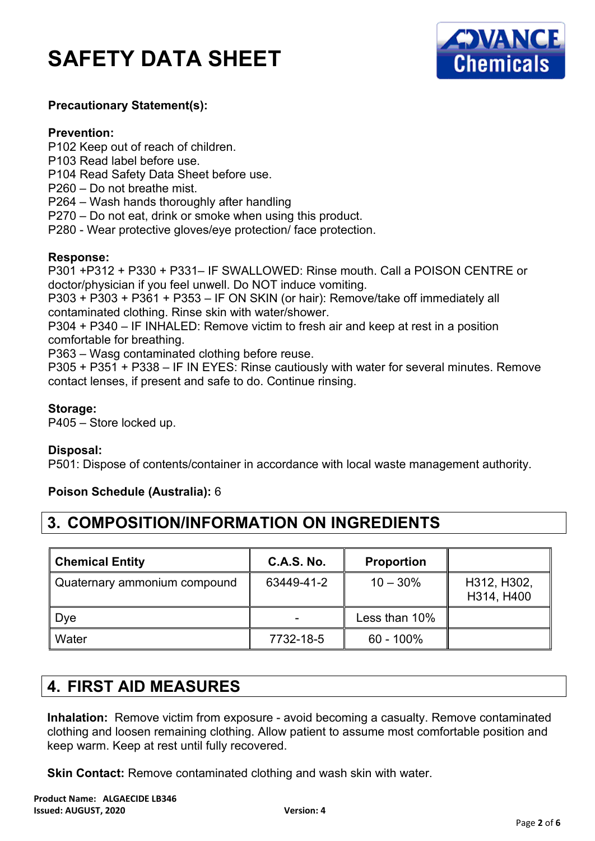

#### **Precautionary Statement(s):**

#### **Prevention:**

- P102 Keep out of reach of children.
- P103 Read label before use.
- P104 Read Safety Data Sheet before use.
- P260 Do not breathe mist.
- P264 Wash hands thoroughly after handling
- P270 Do not eat, drink or smoke when using this product.
- P280 Wear protective gloves/eye protection/ face protection.

#### **Response:**

P301 +P312 + P330 + P331– IF SWALLOWED: Rinse mouth. Call a POISON CENTRE or doctor/physician if you feel unwell. Do NOT induce vomiting.

P303 + P303 + P361 + P353 – IF ON SKIN (or hair): Remove/take off immediately all contaminated clothing. Rinse skin with water/shower.

P304 + P340 – IF INHALED: Remove victim to fresh air and keep at rest in a position comfortable for breathing.

P363 – Wasg contaminated clothing before reuse.

P305 + P351 + P338 – IF IN EYES: Rinse cautiously with water for several minutes. Remove contact lenses, if present and safe to do. Continue rinsing.

#### **Storage:**

P405 – Store locked up.

#### **Disposal:**

P501: Dispose of contents/container in accordance with local waste management authority.

#### **Poison Schedule (Australia):** 6

## **3. COMPOSITION/INFORMATION ON INGREDIENTS**

| Chemical Entity              | <b>C.A.S. No.</b> | <b>Proportion</b>  |                           |
|------------------------------|-------------------|--------------------|---------------------------|
| Quaternary ammonium compound | 63449-41-2        | $10 - 30\%$        | H312, H302,<br>H314, H400 |
| Dye                          |                   | Less than 10% $\,$ |                           |
| Water                        | 7732-18-5         | $60 - 100\%$       |                           |

## **4. FIRST AID MEASURES**

**Inhalation:** Remove victim from exposure - avoid becoming a casualty. Remove contaminated clothing and loosen remaining clothing. Allow patient to assume most comfortable position and keep warm. Keep at rest until fully recovered.

**Skin Contact:** Remove contaminated clothing and wash skin with water.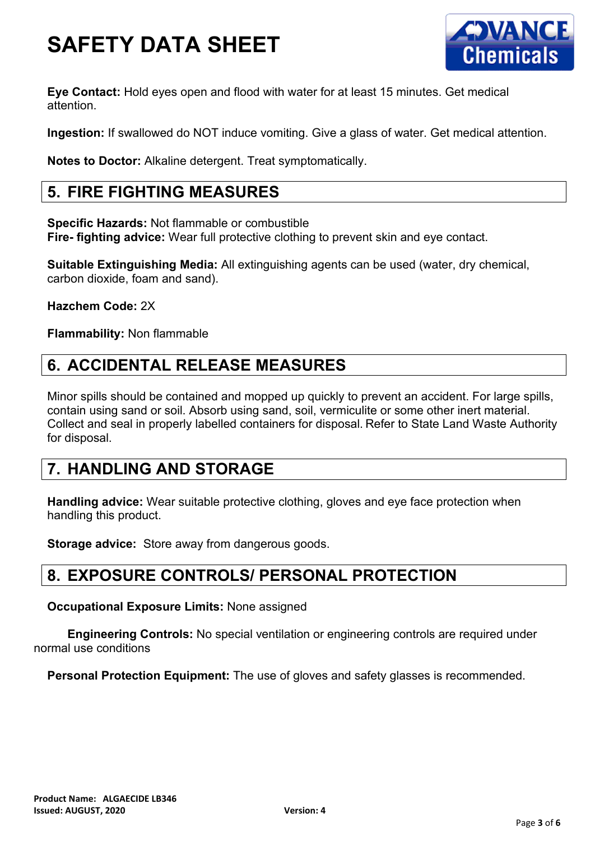

**Eye Contact:** Hold eyes open and flood with water for at least 15 minutes. Get medical attention.

**Ingestion:** If swallowed do NOT induce vomiting. Give a glass of water. Get medical attention.

**Notes to Doctor:** Alkaline detergent. Treat symptomatically.

### **5. FIRE FIGHTING MEASURES**

**Specific Hazards:** Not flammable or combustible **Fire- fighting advice:** Wear full protective clothing to prevent skin and eye contact.

**Suitable Extinguishing Media:** All extinguishing agents can be used (water, dry chemical, carbon dioxide, foam and sand).

**Hazchem Code:** 2X

**Flammability:** Non flammable

### **6. ACCIDENTAL RELEASE MEASURES**

Minor spills should be contained and mopped up quickly to prevent an accident. For large spills, contain using sand or soil. Absorb using sand, soil, vermiculite or some other inert material. Collect and seal in properly labelled containers for disposal. Refer to State Land Waste Authority for disposal.

## **7. HANDLING AND STORAGE**

**Handling advice:** Wear suitable protective clothing, gloves and eye face protection when handling this product.

**Storage advice:** Store away from dangerous goods.

### **8. EXPOSURE CONTROLS/ PERSONAL PROTECTION**

**Occupational Exposure Limits:** None assigned

**Engineering Controls:** No special ventilation or engineering controls are required under normal use conditions

**Personal Protection Equipment:** The use of gloves and safety glasses is recommended.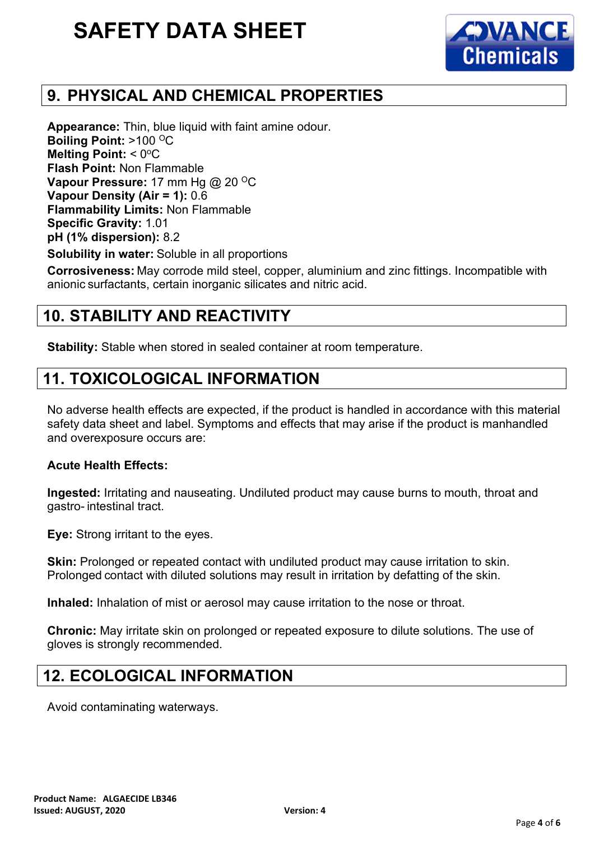

## **9. PHYSICAL AND CHEMICAL PROPERTIES**

**Appearance:** Thin, blue liquid with faint amine odour. **Boiling Point: >100 °C Melting Point: < 0°C Flash Point:** Non Flammable **Vapour Pressure: 17 mm Hg @ 20 °C Vapour Density (Air = 1):** 0.6 **Flammability Limits:** Non Flammable **Specific Gravity:** 1.01 **pH (1% dispersion):** 8.2

**Solubility in water:** Soluble in all proportions

**Corrosiveness:** May corrode mild steel, copper, aluminium and zinc fittings. Incompatible with anionic surfactants, certain inorganic silicates and nitric acid.

### **10. STABILITY AND REACTIVITY**

**Stability:** Stable when stored in sealed container at room temperature.

### **11. TOXICOLOGICAL INFORMATION**

No adverse health effects are expected, if the product is handled in accordance with this material safety data sheet and label. Symptoms and effects that may arise if the product is manhandled and overexposure occurs are:

#### **Acute Health Effects:**

**Ingested:** Irritating and nauseating. Undiluted product may cause burns to mouth, throat and gastro- intestinal tract.

**Eye:** Strong irritant to the eyes.

**Skin:** Prolonged or repeated contact with undiluted product may cause irritation to skin. Prolonged contact with diluted solutions may result in irritation by defatting of the skin.

**Inhaled:** Inhalation of mist or aerosol may cause irritation to the nose or throat.

**Chronic:** May irritate skin on prolonged or repeated exposure to dilute solutions. The use of gloves is strongly recommended.

## **12. ECOLOGICAL INFORMATION**

Avoid contaminating waterways.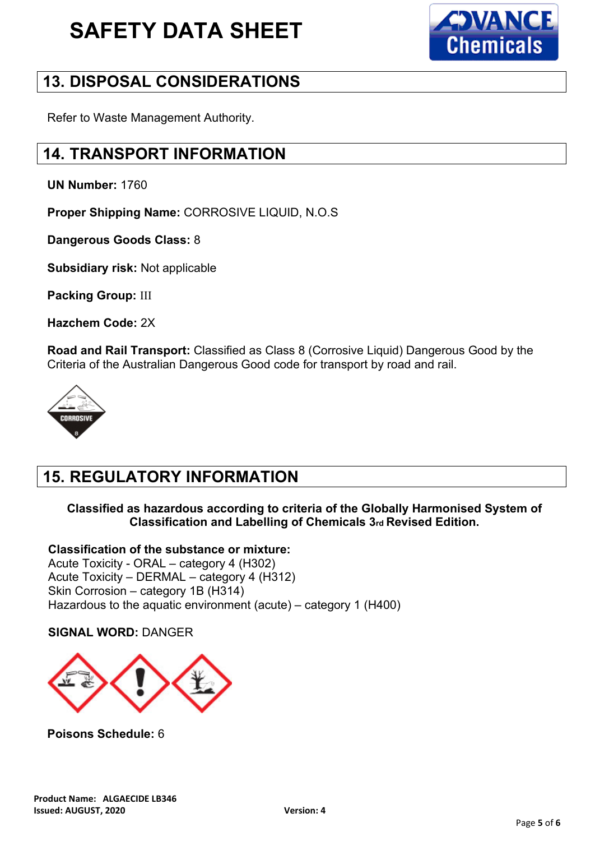

## **13. DISPOSAL CONSIDERATIONS**

Refer to Waste Management Authority.

## **14. TRANSPORT INFORMATION**

**UN Number:** 1760

**Proper Shipping Name:** CORROSIVE LIQUID, N.O.S

**Dangerous Goods Class:** 8

**Subsidiary risk:** Not applicable

**Packing Group:** III

**Hazchem Code:** 2X

**Road and Rail Transport:** Classified as Class 8 (Corrosive Liquid) Dangerous Good by the Criteria of the Australian Dangerous Good code for transport by road and rail.



## **15. REGULATORY INFORMATION**

#### **Classified as hazardous according to criteria of the Globally Harmonised System of Classification and Labelling of Chemicals 3rd Revised Edition.**

#### **Classification of the substance or mixture:**

Acute Toxicity - ORAL – category 4 (H302) Acute Toxicity – DERMAL – category 4 (H312) Skin Corrosion – category 1B (H314) Hazardous to the aquatic environment (acute) – category 1 (H400)

#### **SIGNAL WORD:** DANGER



**Poisons Schedule:** 6